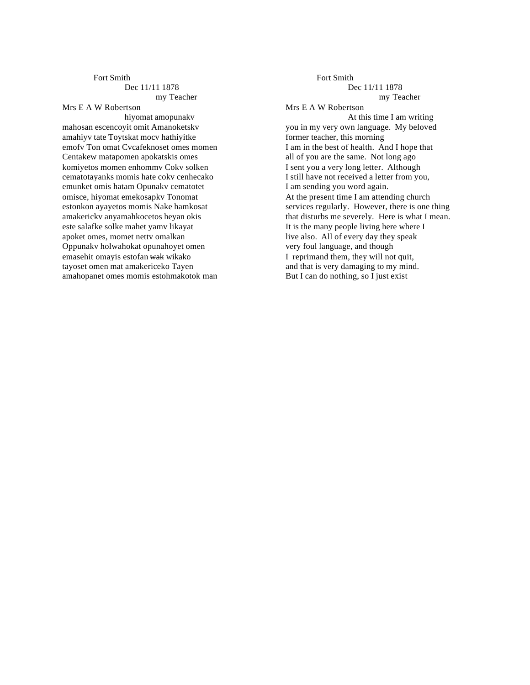# Fort Smith Dec 11/11 1878 my Teacher

### Mrs E A W Robertson

hiyomat amopunakv mahosan escencoyit omit Amanoketskv amahiyv tate Toytskat mocv hathiyitke emofv Ton omat Cvcafeknoset omes momen Centakew matapomen apokatskis omes komiyetos momen enhommv Cokv solken cematotayanks momis hate cokv cenhecako emunket omis hatam Opunakv cematotet omisce, hiyomat emekosapkv Tonomat estonkon ayayetos momis Nake hamkosat amakerickv anyamahkocetos heyan okis este salafke solke mahet yamv likayat apoket omes, momet nettv omalkan Oppunakv holwahokat opunahoyet omen emasehit omayis estofan wak wikako tayoset omen mat amakericeko Tayen amahopanet omes momis estohmakotok man

# Fort Smith Dec 11/11 1878 my Teacher

#### Mrs E A W Robertson

At this time I am writing you in my very own language. My beloved former teacher, this morning I am in the best of health. And I hope that all of you are the same. Not long ago I sent you a very long letter. Although I still have not received a letter from you, I am sending you word again. At the present time I am attending church services regularly. However, there is one thing that disturbs me severely. Here is what I mean. It is the many people living here where I live also. All of every day they speak very foul language, and though I reprimand them, they will not quit, and that is very damaging to my mind. But I can do nothing, so I just exist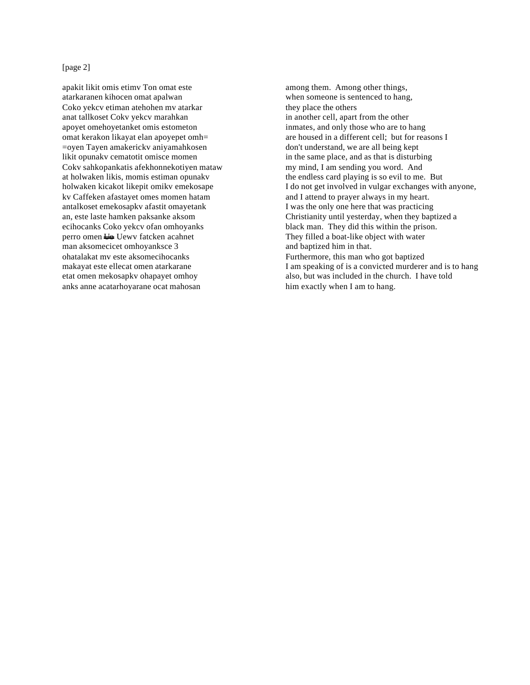[page 2]

apakit likit omis etimv Ton omat este atarkaranen kihocen omat apalwan Coko yekcv etiman atehohen mv atarkar anat tallkoset Cokv yekcv marahkan apoyet omehoyetanket omis estometon omat kerakon likayat elan apoyepet omh= =oyen Tayen amakerickv aniyamahkosen likit opunakv cematotit omisce momen Cokv sahkopankatis afekhonnekotiyen mataw at holwaken likis, momis estiman opunakv holwaken kicakot likepit omikv emekosape kv Caffeken afastayet omes momen hatam antalkoset emekosapkv afastit omayetank an, este laste hamken paksanke aksom ecihocanks Coko yekcv ofan omhoyanks perro omen <del>Uo</del> Uewv fatcken acahnet man aksomecicet omhoyanksce 3 ohatalakat mv este aksomecihocanks makayat este ellecat omen atarkarane etat omen mekosapkv ohapayet omhoy anks anne acatarhoyarane ocat mahosan

among them. Among other things, when someone is sentenced to hang, they place the others in another cell, apart from the other inmates, and only those who are to hang are housed in a different cell; but for reasons I don't understand, we are all being kept in the same place, and as that is disturbing my mind, I am sending you word. And the endless card playing is so evil to me. But I do not get involved in vulgar exchanges with anyone, and I attend to prayer always in my heart. I was the only one here that was practicing Christianity until yesterday, when they baptized a black man. They did this within the prison. They filled a boat-like object with water and baptized him in that. Furthermore, this man who got baptized I am speaking of is a convicted murderer and is to hang also, but was included in the church. I have told him exactly when I am to hang.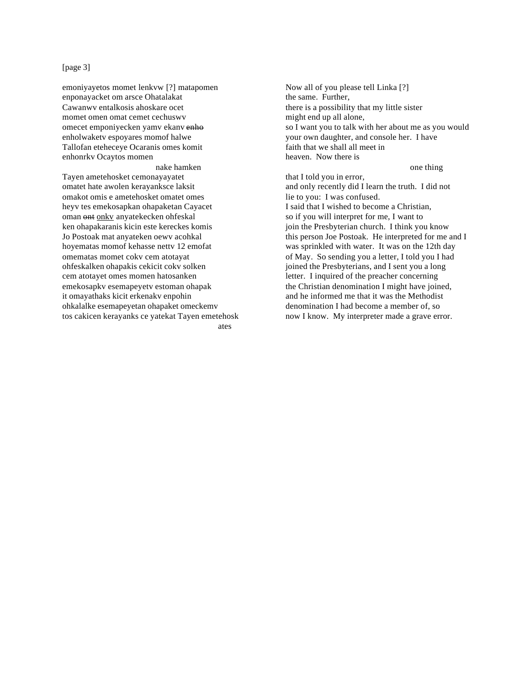# [page 3]

emoniyayetos momet lenkvw [?] matapomen enponayacket om arsce Ohatalakat Cawanwv entalkosis ahoskare ocet momet omen omat cemet cechuswv omecet emponiyecken yamv ekanv enho enholwaketv espoyares momof halwe Tallofan eteheceye Ocaranis omes komit enhonrkv Ocaytos momen

nake hamken Tayen ametehosket cemonayayatet omatet hate awolen kerayanksce laksit omakot omis e ametehosket omatet omes heyv tes emekosapkan ohapaketan Cayacet oman ont onkv anyatekecken ohfeskal ken ohapakaranis kicin este kereckes komis Jo Postoak mat anyateken oewv acohkal hoyematas momof kehasse nettv 12 emofat omematas momet cokv cem atotayat ohfeskalken ohapakis cekicit cokv solken cem atotayet omes momen hatosanken emekosapkv esemapeyetv estoman ohapak it omayathaks kicit erkenakv enpohin ohkalalke esemapeyetan ohapaket omeckemv tos cakicen kerayanks ce yatekat Tayen emetehosk ates

Now all of you please tell Linka [?] the same. Further, there is a possibility that my little sister might end up all alone, so I want you to talk with her about me as you would your own daughter, and console her. I have faith that we shall all meet in heaven. Now there is

one thing

that I told you in error, and only recently did I learn the truth. I did not lie to you: I was confused. I said that I wished to become a Christian, so if you will interpret for me, I want to join the Presbyterian church. I think you know this person Joe Postoak. He interpreted for me and I was sprinkled with water. It was on the 12th day of May. So sending you a letter, I told you I had joined the Presbyterians, and I sent you a long letter. I inquired of the preacher concerning the Christian denomination I might have joined, and he informed me that it was the Methodist denomination I had become a member of, so now I know. My interpreter made a grave error.